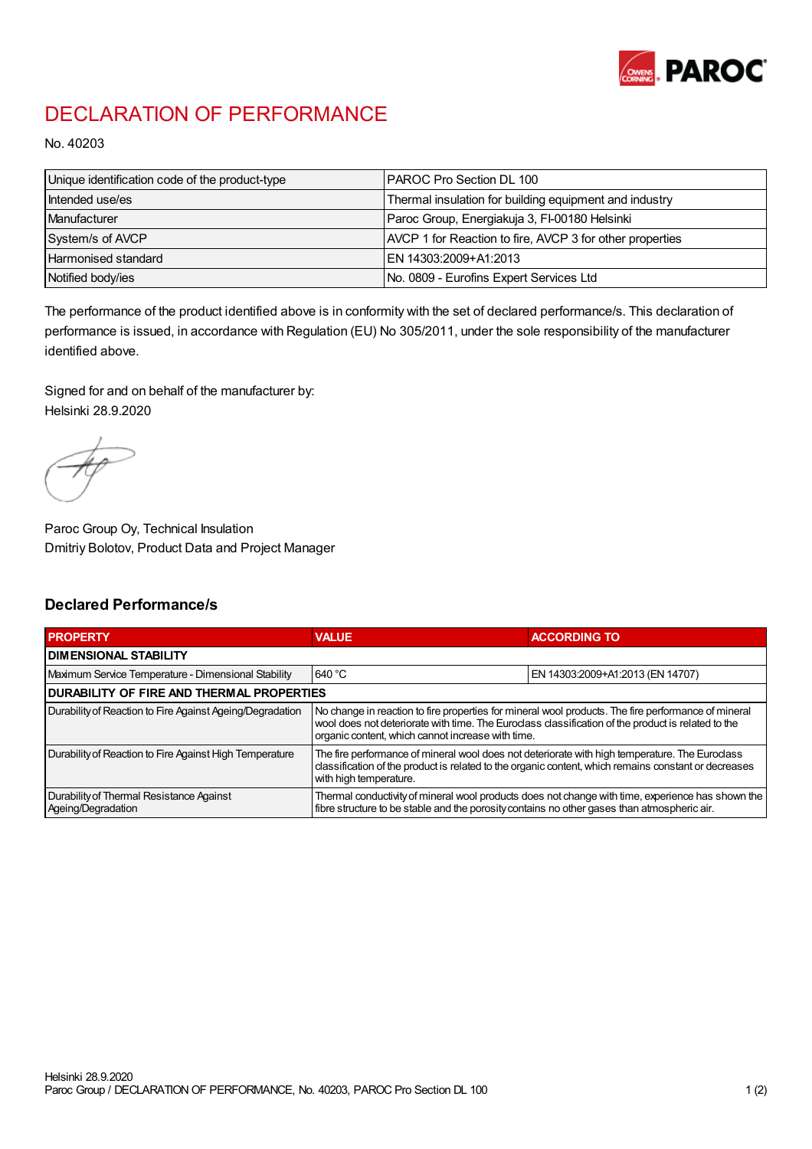

## DECLARATION OF PERFORMANCE

No. 40203

| Unique identification code of the product-type | IPAROC Pro Section DL 100                                |
|------------------------------------------------|----------------------------------------------------------|
| Intended use/es                                | Thermal insulation for building equipment and industry   |
| Manufacturer                                   | Paroc Group, Energiakuja 3, FI-00180 Helsinki            |
| System/s of AVCP                               | AVCP 1 for Reaction to fire, AVCP 3 for other properties |
| Harmonised standard                            | IEN 14303:2009+A1:2013                                   |
| Notified body/ies                              | No. 0809 - Eurofins Expert Services Ltd                  |

The performance of the product identified above is in conformity with the set of declared performance/s. This declaration of performance is issued, in accordance with Regulation (EU) No 305/2011, under the sole responsibility of the manufacturer identified above.

Signed for and on behalf of the manufacturer by: Helsinki 28.9.2020

Paroc Group Oy, Technical Insulation Dmitriy Bolotov, Product Data and Project Manager

## Declared Performance/s

| <b>PROPERTY</b>                                                | <b>VALUE</b>                                                                                                                                                                                                                                                   | <b>ACCORDING TO</b>              |  |
|----------------------------------------------------------------|----------------------------------------------------------------------------------------------------------------------------------------------------------------------------------------------------------------------------------------------------------------|----------------------------------|--|
| <b>DIMENSIONAL STABILITY</b>                                   |                                                                                                                                                                                                                                                                |                                  |  |
| Maximum Service Temperature - Dimensional Stability            | 640 °C                                                                                                                                                                                                                                                         | EN 14303:2009+A1:2013 (EN 14707) |  |
| <b>DURABILITY OF FIRE AND THERMAL PROPERTIES</b>               |                                                                                                                                                                                                                                                                |                                  |  |
| Durability of Reaction to Fire Against Ageing/Degradation      | No change in reaction to fire properties for mineral wool products. The fire performance of mineral<br>wool does not deteriorate with time. The Euroclass classification of the product is related to the<br>organic content, which cannot increase with time. |                                  |  |
| Durability of Reaction to Fire Against High Temperature        | The fire performance of mineral wool does not deteriorate with high temperature. The Euroclass<br>classification of the product is related to the organic content, which remains constant or decreases<br>with high temperature.                               |                                  |  |
| Durability of Thermal Resistance Against<br>Ageing/Degradation | Thermal conductivity of mineral wool products does not change with time, experience has shown the<br>fibre structure to be stable and the porosity contains no other gases than atmospheric air.                                                               |                                  |  |